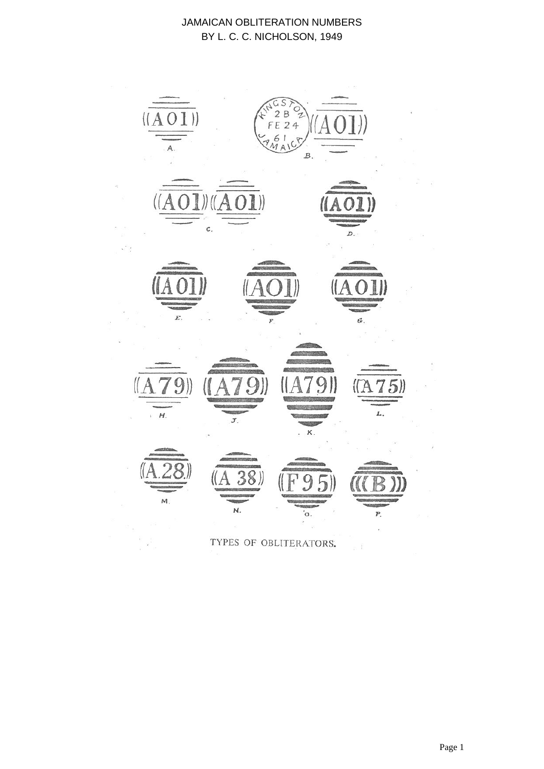

TYPES OF OBLITERATORS.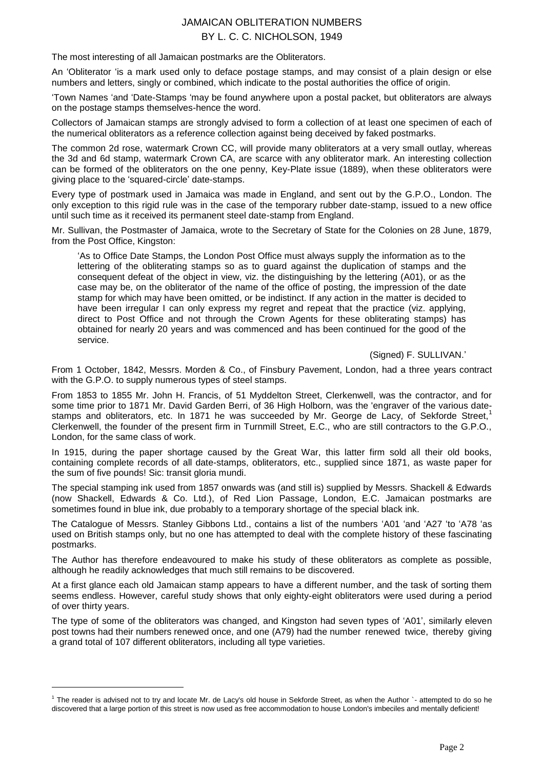The most interesting of all Jamaican postmarks are the Obliterators.

An "Obliterator "is a mark used only to deface postage stamps, and may consist of a plain design or else numbers and letters, singly or combined, which indicate to the postal authorities the office of origin.

"Town Names "and "Date-Stamps "may be found anywhere upon a postal packet, but obliterators are always on the postage stamps themselves-hence the word.

Collectors of Jamaican stamps are strongly advised to form a collection of at least one specimen of each of the numerical obliterators as a reference collection against being deceived by faked postmarks.

The common 2d rose, watermark Crown CC, will provide many obliterators at a very small outlay, whereas the 3d and 6d stamp, watermark Crown CA, are scarce with any obliterator mark. An interesting collection can be formed of the obliterators on the one penny, Key-Plate issue (1889), when these obliterators were giving place to the "squared-circle" date-stamps.

Every type of postmark used in Jamaica was made in England, and sent out by the G.P.O., London. The only exception to this rigid rule was in the case of the temporary rubber date-stamp, issued to a new office until such time as it received its permanent steel date-stamp from England.

Mr. Sullivan, the Postmaster of Jamaica, wrote to the Secretary of State for the Colonies on 28 June, 1879, from the Post Office, Kingston:

"As to Office Date Stamps, the London Post Office must always supply the information as to the lettering of the obliterating stamps so as to guard against the duplication of stamps and the consequent defeat of the object in view, viz. the distinguishing by the lettering (A01), or as the case may be, on the obliterator of the name of the office of posting, the impression of the date stamp for which may have been omitted, or be indistinct. If any action in the matter is decided to have been irregular I can only express my regret and repeat that the practice (viz. applying, direct to Post Office and not through the Crown Agents for these obliterating stamps) has obtained for nearly 20 years and was commenced and has been continued for the good of the service.

#### (Signed) F. SULLIVAN."

From 1 October, 1842, Messrs. Morden & Co., of Finsbury Pavement, London, had a three years contract with the G.P.O. to supply numerous types of steel stamps.

From 1853 to 1855 Mr. John H. Francis, of 51 Myddelton Street, Clerkenwell, was the contractor, and for some time prior to 1871 Mr. David Garden Berri, of 36 High Holborn, was the 'engraver of the various datestamps and obliterators, etc. In 1871 he was succeeded by Mr. George de Lacy, of Sekforde Street,<sup>1</sup> Clerkenwell, the founder of the present firm in Turnmill Street, E.C., who are still contractors to the G.P.O., London, for the same class of work.

In 1915, during the paper shortage caused by the Great War, this latter firm sold all their old books, containing complete records of all date-stamps, obliterators, etc., supplied since 1871, as waste paper for the sum of five pounds! Sic: transit gloria mundi.

The special stamping ink used from 1857 onwards was (and still is) supplied by Messrs. Shackell & Edwards (now Shackell, Edwards & Co. Ltd.), of Red Lion Passage, London, E.C. Jamaican postmarks are sometimes found in blue ink, due probably to a temporary shortage of the special black ink.

The Catalogue of Messrs. Stanley Gibbons Ltd., contains a list of the numbers "A01 "and "A27 "to "A78 "as used on British stamps only, but no one has attempted to deal with the complete history of these fascinating postmarks.

The Author has therefore endeavoured to make his study of these obliterators as complete as possible, although he readily acknowledges that much still remains to be discovered.

At a first glance each old Jamaican stamp appears to have a different number, and the task of sorting them seems endless. However, careful study shows that only eighty-eight obliterators were used during a period of over thirty years.

The type of some of the obliterators was changed, and Kingston had seven types of "A01", similarly eleven post towns had their numbers renewed once, and one (A79) had the number renewed twice, thereby giving a grand total of 107 different obliterators, including all type varieties.

-

<sup>&</sup>lt;sup>1</sup> The reader is advised not to try and locate Mr. de Lacy's old house in Sekforde Street, as when the Author `- attempted to do so he discovered that a large portion of this street is now used as free accommodation to house London's imbeciles and mentally deficient!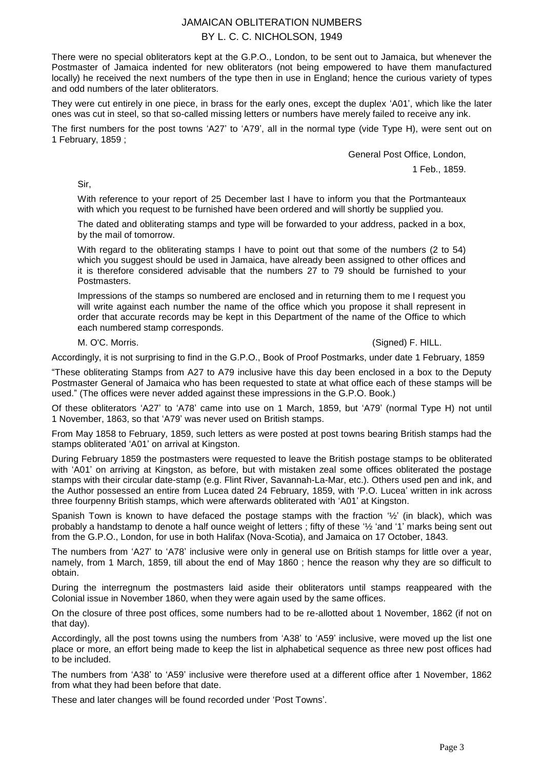There were no special obliterators kept at the G.P.O., London, to be sent out to Jamaica, but whenever the Postmaster of Jamaica indented for new obliterators (not being empowered to have them manufactured locally) he received the next numbers of the type then in use in England; hence the curious variety of types and odd numbers of the later obliterators.

They were cut entirely in one piece, in brass for the early ones, except the duplex "A01", which like the later ones was cut in steel, so that so-called missing letters or numbers have merely failed to receive any ink.

The first numbers for the post towns 'A27' to 'A79', all in the normal type (vide Type H), were sent out on 1 February, 1859 ;

General Post Office, London,

1 Feb., 1859.

Sir,

With reference to your report of 25 December last I have to inform you that the Portmanteaux with which you request to be furnished have been ordered and will shortly be supplied you.

The dated and obliterating stamps and type will be forwarded to your address, packed in a box, by the mail of tomorrow.

With regard to the obliterating stamps I have to point out that some of the numbers (2 to 54) which you suggest should be used in Jamaica, have already been assigned to other offices and it is therefore considered advisable that the numbers 27 to 79 should be furnished to your Postmasters.

Impressions of the stamps so numbered are enclosed and in returning them to me I request you will write against each number the name of the office which you propose it shall represent in order that accurate records may be kept in this Department of the name of the Office to which each numbered stamp corresponds.

#### M. O'C. Morris. (Signed) F. HILL.

Accordingly, it is not surprising to find in the G.P.O., Book of Proof Postmarks, under date 1 February, 1859

"These obliterating Stamps from A27 to A79 inclusive have this day been enclosed in a box to the Deputy Postmaster General of Jamaica who has been requested to state at what office each of these stamps will be used." (The offices were never added against these impressions in the G.P.O. Book.)

Of these obliterators "A27" to "A78" came into use on 1 March, 1859, but "A79" (normal Type H) not until 1 November, 1863, so that "A79" was never used on British stamps.

From May 1858 to February, 1859, such letters as were posted at post towns bearing British stamps had the stamps obliterated "A01" on arrival at Kingston.

During February 1859 the postmasters were requested to leave the British postage stamps to be obliterated with 'A01' on arriving at Kingston, as before, but with mistaken zeal some offices obliterated the postage stamps with their circular date-stamp (e.g. Flint River, Savannah-La-Mar, etc.). Others used pen and ink, and the Author possessed an entire from Lucea dated 24 February, 1859, with "P.O. Lucea" written in ink across three fourpenny British stamps, which were afterwards obliterated with "A01" at Kingston.

Spanish Town is known to have defaced the postage stamps with the fraction '%' (in black), which was probably a handstamp to denote a half ounce weight of letters ; fifty of these "½ "and "1" marks being sent out from the G.P.O., London, for use in both Halifax (Nova-Scotia), and Jamaica on 17 October, 1843.

The numbers from "A27" to "A78" inclusive were only in general use on British stamps for little over a year, namely, from 1 March, 1859, till about the end of May 1860 ; hence the reason why they are so difficult to obtain.

During the interregnum the postmasters laid aside their obliterators until stamps reappeared with the Colonial issue in November 1860, when they were again used by the same offices.

On the closure of three post offices, some numbers had to be re-allotted about 1 November, 1862 (if not on that day).

Accordingly, all the post towns using the numbers from "A38" to "A59" inclusive, were moved up the list one place or more, an effort being made to keep the list in alphabetical sequence as three new post offices had to be included.

The numbers from "A38" to "A59" inclusive were therefore used at a different office after 1 November, 1862 from what they had been before that date.

These and later changes will be found recorded under "Post Towns".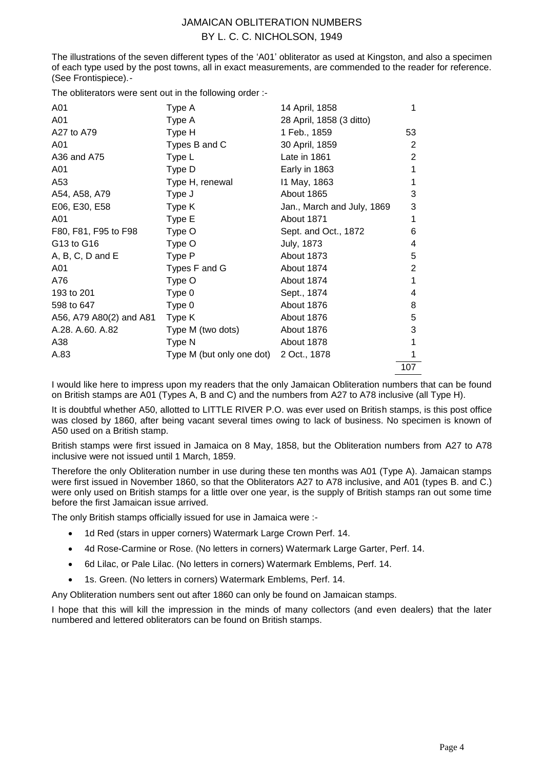The illustrations of the seven different types of the "A01" obliterator as used at Kingston, and also a specimen of each type used by the post towns, all in exact measurements, are commended to the reader for reference. (See Frontispiece).-

The obliterators were sent out in the following order :-

| A01                     | Type A                    | 14 April, 1858             | 1   |
|-------------------------|---------------------------|----------------------------|-----|
| A01                     | Type A                    | 28 April, 1858 (3 ditto)   |     |
| A27 to A79              | Type H                    | 1 Feb., 1859               | 53  |
| A01                     | Types B and C             | 30 April, 1859             | 2   |
| A36 and A75             | Type L                    | Late in 1861               | 2   |
| A01                     | Type D                    | Early in 1863              |     |
| A53                     | Type H, renewal           | 11 May, 1863               |     |
| A54, A58, A79           | Type J                    | About 1865                 | 3   |
| E06, E30, E58           | Type K                    | Jan., March and July, 1869 | 3   |
| A01                     | Type E                    | About 1871                 |     |
| F80, F81, F95 to F98    | Type O                    | Sept. and Oct., 1872       | 6   |
| G13 to G16              | Type O                    | <b>July, 1873</b>          | 4   |
| $A, B, C, D$ and $E$    | Type P                    | About 1873                 | 5   |
| A01                     | Types F and G             | About 1874                 | 2   |
| A76                     | Type O                    | About 1874                 | 1   |
| 193 to 201              | Type 0                    | Sept., 1874                | 4   |
| 598 to 647              | Type 0                    | About 1876                 | 8   |
| A56, A79 A80(2) and A81 | Type K                    | About 1876                 | 5   |
| A.28. A.60. A.82        | Type M (two dots)         | About 1876                 | 3   |
| A38                     | Type N                    | About 1878                 |     |
| A.83                    | Type M (but only one dot) | 2 Oct., 1878               |     |
|                         |                           |                            | 107 |

I would like here to impress upon my readers that the only Jamaican Obliteration numbers that can be found on British stamps are A01 (Types A, B and C) and the numbers from A27 to A78 inclusive (all Type H).

It is doubtful whether A50, allotted to LITTLE RIVER P.O. was ever used on British stamps, is this post office was closed by 1860, after being vacant several times owing to lack of business. No specimen is known of A50 used on a British stamp.

British stamps were first issued in Jamaica on 8 May, 1858, but the Obliteration numbers from A27 to A78 inclusive were not issued until 1 March, 1859.

Therefore the only Obliteration number in use during these ten months was A01 (Type A). Jamaican stamps were first issued in November 1860, so that the Obliterators A27 to A78 inclusive, and A01 (types B. and C.) were only used on British stamps for a little over one year, is the supply of British stamps ran out some time before the first Jamaican issue arrived.

The only British stamps officially issued for use in Jamaica were :-

- 1d Red (stars in upper corners) Watermark Large Crown Perf. 14.
- 4d Rose-Carmine or Rose. (No letters in corners) Watermark Large Garter, Perf. 14.
- 6d Lilac, or Pale Lilac. (No letters in corners) Watermark Emblems, Perf. 14.
- 1s. Green. (No letters in corners) Watermark Emblems, Perf. 14.

Any Obliteration numbers sent out after 1860 can only be found on Jamaican stamps.

I hope that this will kill the impression in the minds of many collectors (and even dealers) that the later numbered and lettered obliterators can be found on British stamps.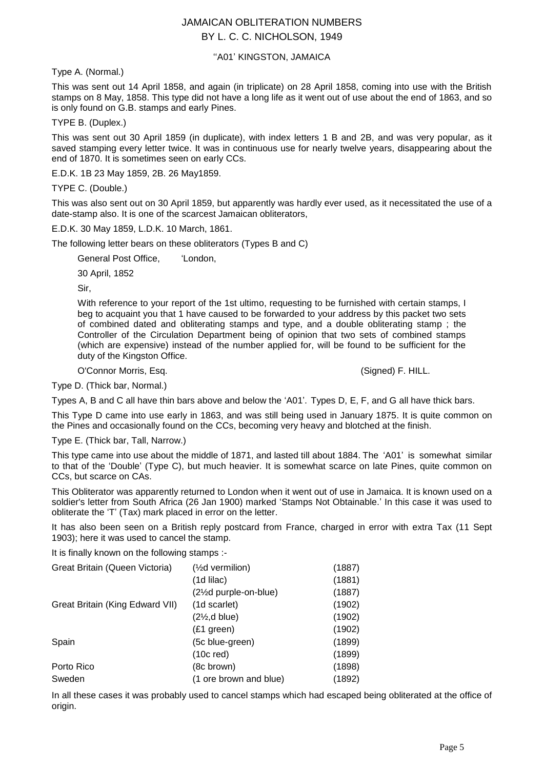### "A01' KINGSTON, JAMAICA

Type A. (Normal.)

This was sent out 14 April 1858, and again (in triplicate) on 28 April 1858, coming into use with the British stamps on 8 May, 1858. This type did not have a long life as it went out of use about the end of 1863, and so is only found on G.B. stamps and early Pines.

TYPE B. (Duplex.)

This was sent out 30 April 1859 (in duplicate), with index letters 1 B and 2B, and was very popular, as it saved stamping every letter twice. It was in continuous use for nearly twelve years, disappearing about the end of 1870. It is sometimes seen on early CCs.

E.D.K. 1B 23 May 1859, 2B. 26 May1859.

TYPE C. (Double.)

This was also sent out on 30 April 1859, but apparently was hardly ever used, as it necessitated the use of a date-stamp also. It is one of the scarcest Jamaican obliterators,

E.D.K. 30 May 1859, L.D.K. 10 March, 1861.

The following letter bears on these obliterators (Types B and C)

General Post Office, "London,

30 April, 1852

Sir,

With reference to your report of the 1st ultimo, requesting to be furnished with certain stamps, I beg to acquaint you that 1 have caused to be forwarded to your address by this packet two sets of combined dated and obliterating stamps and type, and a double obliterating stamp ; the Controller of the Circulation Department being of opinion that two sets of combined stamps (which are expensive) instead of the number applied for, will be found to be sufficient for the duty of the Kingston Office.

O'Connor Morris, Esq. (Signed) F. HILL.

Type D. (Thick bar, Normal.)

Types A, B and C all have thin bars above and below the "A01". Types D, E, F, and G all have thick bars.

This Type D came into use early in 1863, and was still being used in January 1875. It is quite common on the Pines and occasionally found on the CCs, becoming very heavy and blotched at the finish.

Type E. (Thick bar, Tall, Narrow.)

This type came into use about the middle of 1871, and lasted till about 1884. The "A01" is somewhat similar to that of the "Double" (Type C), but much heavier. It is somewhat scarce on late Pines, quite common on CCs, but scarce on CAs.

This Obliterator was apparently returned to London when it went out of use in Jamaica. It is known used on a soldier's letter from South Africa (26 Jan 1900) marked "Stamps Not Obtainable." In this case it was used to obliterate the "T" (Tax) mark placed in error on the letter.

It has also been seen on a British reply postcard from France, charged in error with extra Tax (11 Sept 1903); here it was used to cancel the stamp.

It is finally known on the following stamps :-

| Great Britain (Queen Victoria)  | $(\frac{1}{2}d$ vermilion) | (1887) |
|---------------------------------|----------------------------|--------|
|                                 | (1d lilac)                 | (1881) |
|                                 | (2½d purple-on-blue)       | (1887) |
| Great Britain (King Edward VII) | (1d scarlet)               | (1902) |
|                                 | $(2\frac{1}{2}, d$ blue)   | (1902) |
|                                 | (£1 green)                 | (1902) |
| Spain                           | (5c blue-green)            | (1899) |
|                                 | $(10c$ red)                | (1899) |
| Porto Rico                      | (8c brown)                 | (1898) |
| Sweden                          | (1 ore brown and blue)     | (1892) |

In all these cases it was probably used to cancel stamps which had escaped being obliterated at the office of origin.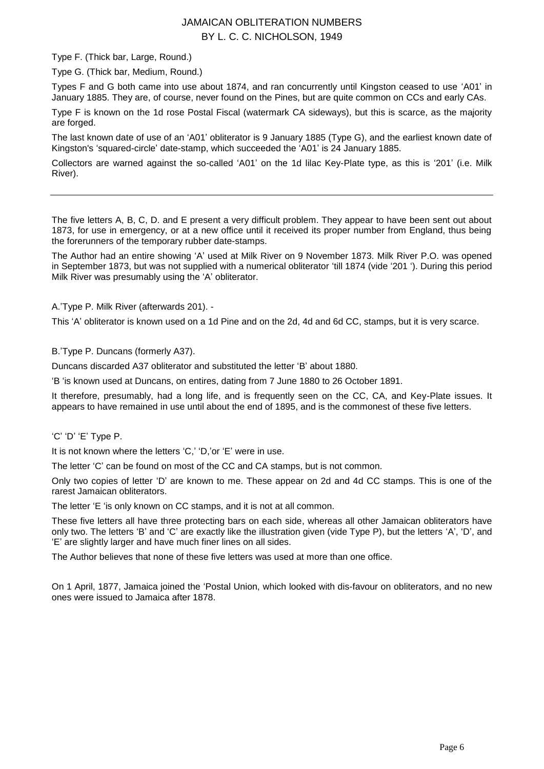Type F. (Thick bar, Large, Round.)

Type G. (Thick bar, Medium, Round.)

Types F and G both came into use about 1874, and ran concurrently until Kingston ceased to use "A01" in January 1885. They are, of course, never found on the Pines, but are quite common on CCs and early CAs.

Type F is known on the 1d rose Postal Fiscal (watermark CA sideways), but this is scarce, as the majority are forged.

The last known date of use of an "A01" obliterator is 9 January 1885 (Type G), and the earliest known date of Kingston's "squared-circle" date-stamp, which succeeded the "A01" is 24 January 1885.

Collectors are warned against the so-called "A01" on the 1d lilac Key-Plate type, as this is "201" (i.e. Milk River).

The five letters A, B, C, D. and E present a very difficult problem. They appear to have been sent out about 1873, for use in emergency, or at a new office until it received its proper number from England, thus being the forerunners of the temporary rubber date-stamps.

The Author had an entire showing "A" used at Milk River on 9 November 1873. Milk River P.O. was opened in September 1873, but was not supplied with a numerical obliterator "till 1874 (vide "201 "). During this period Milk River was presumably using the "A" obliterator.

A."Type P. Milk River (afterwards 201). -

This 'A' obliterator is known used on a 1d Pine and on the 2d, 4d and 6d CC, stamps, but it is very scarce.

B."Type P. Duncans (formerly A37).

Duncans discarded A37 obliterator and substituted the letter "B" about 1880.

"B "is known used at Duncans, on entires, dating from 7 June 1880 to 26 October 1891.

It therefore, presumably, had a long life, and is frequently seen on the CC, CA, and Key-Plate issues. It appears to have remained in use until about the end of 1895, and is the commonest of these five letters.

"C" "D" "E" Type P.

It is not known where the letters 'C,' 'D,'or 'E' were in use.

The letter 'C' can be found on most of the CC and CA stamps, but is not common.

Only two copies of letter "D" are known to me. These appear on 2d and 4d CC stamps. This is one of the rarest Jamaican obliterators.

The letter "E "is only known on CC stamps, and it is not at all common.

These five letters all have three protecting bars on each side, whereas all other Jamaican obliterators have only two. The letters 'B' and 'C' are exactly like the illustration given (vide Type P), but the letters 'A', 'D', and "E" are slightly larger and have much finer lines on all sides.

The Author believes that none of these five letters was used at more than one office.

On 1 April, 1877, Jamaica joined the "Postal Union, which looked with dis-favour on obliterators, and no new ones were issued to Jamaica after 1878.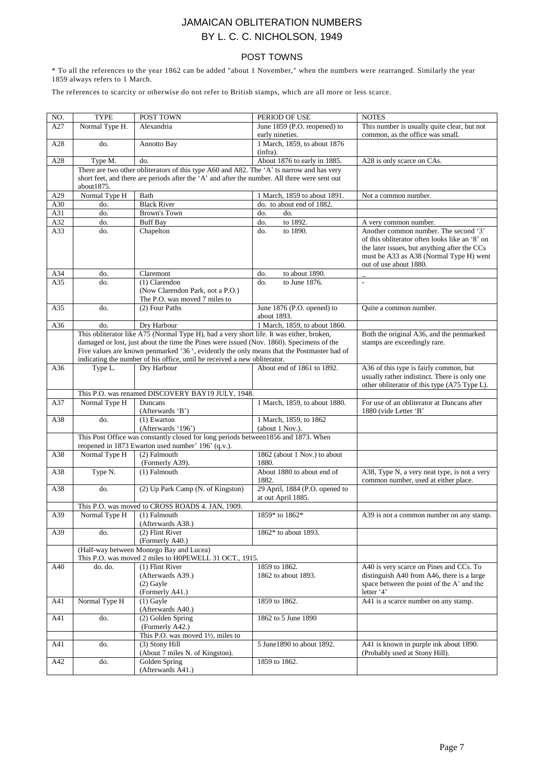### POST TOWNS

\* To all the references to the year 1862 can be added "about 1 November," when the numbers were rearranged. Similarly the year 1859 always refers to 1 March.

The references to scarcity or otherwise do not refer to British stamps, which are all more or less scarce.

| NO. | <b>TYPE</b>    | POST TOWN                                                                                     | PERIOD OF USE                         | <b>NOTES</b>                                                                                                                                                                                                 |
|-----|----------------|-----------------------------------------------------------------------------------------------|---------------------------------------|--------------------------------------------------------------------------------------------------------------------------------------------------------------------------------------------------------------|
| A27 | Normal Type H. | Alexandria                                                                                    | June 1859 (P.O. reopened) to          | This number is usually quite clear, but not                                                                                                                                                                  |
|     |                |                                                                                               | early nineties.                       | common, as the office was small.                                                                                                                                                                             |
| A28 | do.            | Annotto Bay                                                                                   | 1 March, 1859, to about 1876          |                                                                                                                                                                                                              |
|     |                |                                                                                               | (infra).                              |                                                                                                                                                                                                              |
| A28 | Type M.        | do.                                                                                           | About 1876 to early in 1885.          | A28 is only scarce on CAs.                                                                                                                                                                                   |
|     |                | There are two other obliterators of this type A60 and A82. The 'A' ts narrow and has very     |                                       |                                                                                                                                                                                                              |
|     |                | short feet, and there are periods after the 'A' and after the number. All three were sent out |                                       |                                                                                                                                                                                                              |
|     | about1875.     |                                                                                               |                                       |                                                                                                                                                                                                              |
| A29 | Normal Type H  | Bath                                                                                          | 1 March, 1859 to about 1891.          | Not a common number.                                                                                                                                                                                         |
| A30 | do.            | <b>Black River</b>                                                                            | do. to about end of 1882.             |                                                                                                                                                                                                              |
| A31 | do.            | Brown's Town                                                                                  | do.<br>do.                            |                                                                                                                                                                                                              |
| A32 | do.            | <b>Buff Bay</b>                                                                               | to 1892.<br>do.                       | A very common number.                                                                                                                                                                                        |
| A33 | do.            | Chapelton                                                                                     | to 1890.<br>do.                       | Another common number. The second '3'<br>of this obliterator often looks like an '8' on<br>the later issues, but anything after the CCs<br>must be A33 as A38 (Normal Type H) went<br>out of use about 1880. |
| A34 | do.            | Claremont                                                                                     | do.<br>to about 1890.                 |                                                                                                                                                                                                              |
| A35 | do.            | $(1)$ Clarendon                                                                               | to June 1876.<br>do.                  | $\overline{\phantom{a}}$                                                                                                                                                                                     |
|     |                | (Now Clarendon Park, not a P.O.)<br>The P.O. was moved 7 miles to                             |                                       |                                                                                                                                                                                                              |
| A35 | do.            | (2) Four Paths                                                                                | June 1876 (P.O. opened) to            | Ouite a common number.                                                                                                                                                                                       |
|     |                |                                                                                               | about 1893.                           |                                                                                                                                                                                                              |
| A36 | do.            | Dry Harbour                                                                                   | 1 March, 1859, to about 1860.         |                                                                                                                                                                                                              |
|     |                | This obliterator like A75 (Normal Type H), had a very short life. It was either, broken,      |                                       | Both the original A36, and the penmarked                                                                                                                                                                     |
|     |                | damaged or lost, just about the time the Pines were issued (Nov. 1860). Specimens of the      |                                       | stamps are exceedingly rare.                                                                                                                                                                                 |
|     |                | Five values are known penmarked '36 ', evidently the only means that the Postmaster had of    |                                       |                                                                                                                                                                                                              |
|     |                | indicating the number of his office, until he received a new obliterator.                     |                                       |                                                                                                                                                                                                              |
| A36 | Type L.        | Dry Harbour                                                                                   | About end of 1861 to 1892.            | A36 of this type is fairly common, but<br>usually rather indistinct. There is only one<br>other obliterator of this type (A75 Type L).                                                                       |
|     |                | This P.O. was renamed DISCOVERY BAY19 JULY, 1948.                                             |                                       |                                                                                                                                                                                                              |
| A37 | Normal Type H  | Duncans<br>(Afterwards 'B')                                                                   | 1 March, 1859, to about 1880.         | For use of an obliterator at Duncans after<br>1880 (vide Letter 'B'                                                                                                                                          |
| A38 | do.            | $(1)$ Ewarton                                                                                 | 1 March, 1859, to 1862                |                                                                                                                                                                                                              |
|     |                | (Afterwards '196')                                                                            | (about 1 Nov.).                       |                                                                                                                                                                                                              |
|     |                | This Post Office was constantly closed for long periods between 1856 and 1873. When           |                                       |                                                                                                                                                                                                              |
|     |                | reopened in 1873 Ewarton used number' 196' (q.v.).                                            |                                       |                                                                                                                                                                                                              |
| A38 | Normal Type H  | (2) Falmouth<br>(Formerly A39).                                                               | 1862 (about 1 Nov.) to about<br>1880. |                                                                                                                                                                                                              |
| A38 | Type N.        | $(1)$ Falmouth                                                                                | About 1880 to about end of<br>1882.   | A38, Type N, a very neat type, is not a very<br>common number, used at either place.                                                                                                                         |
| A38 | do.            |                                                                                               | 29 April, 1884 (P.O. opened to        |                                                                                                                                                                                                              |
|     |                | (2) Up Park Camp (N. of Kingston)                                                             | at out April 1885.                    |                                                                                                                                                                                                              |
|     |                | This P.O. was moved to CROSS ROADS 4. JAN, 1909.                                              |                                       |                                                                                                                                                                                                              |
| A39 | Normal Type H  | (1) Falmouth                                                                                  | 1859* to 1862*                        | A39 is not a common number on any stamp.                                                                                                                                                                     |
|     |                | (Afterwards A38.)                                                                             |                                       |                                                                                                                                                                                                              |
| A39 | do.            | (2) Flint River                                                                               | 1862* to about 1893.                  |                                                                                                                                                                                                              |
|     |                | (Formerly A40.)                                                                               |                                       |                                                                                                                                                                                                              |
|     |                | (Half-way between Montego Bay and Lucea)                                                      |                                       |                                                                                                                                                                                                              |
|     |                | This P.O. was moved 2 miles to H0PEWELL 31 OCT., 1915.                                        |                                       |                                                                                                                                                                                                              |
| A40 | do. do.        | $(1)$ Flint River                                                                             | 1859 to 1862.                         | A40 is very scarce on Pines and CCs. To                                                                                                                                                                      |
|     |                | (Afterwards A39.)                                                                             | 1862 to about 1893.                   | distinguish A40 from A46, there is a large                                                                                                                                                                   |
|     |                | $(2)$ Gayle                                                                                   |                                       | space between the point of the A' and the                                                                                                                                                                    |
|     |                | (Formerly A41.)                                                                               |                                       | letter '4'                                                                                                                                                                                                   |
| A41 | Normal Type H  | $(1)$ Gayle                                                                                   | 1859 to 1862.                         | A41 is a scarce number on any stamp.                                                                                                                                                                         |
|     |                | (Afterwards A40.)                                                                             |                                       |                                                                                                                                                                                                              |
| A41 | do.            | (2) Golden Spring                                                                             | 1862 to 5 June 1890                   |                                                                                                                                                                                                              |
|     |                | (Formerly A42.)                                                                               |                                       |                                                                                                                                                                                                              |
|     |                | This P.O. was moved 11/2. miles to                                                            |                                       |                                                                                                                                                                                                              |
| A41 | do.            | (3) Stony Hill                                                                                | 5 June1890 to about 1892.             | A41 is known in purple ink about 1890.                                                                                                                                                                       |
| A42 | do.            | (About 7 miles N. of Kingston).<br>Golden Spring                                              | 1859 to 1862.                         | (Probably used at Stony Hill).                                                                                                                                                                               |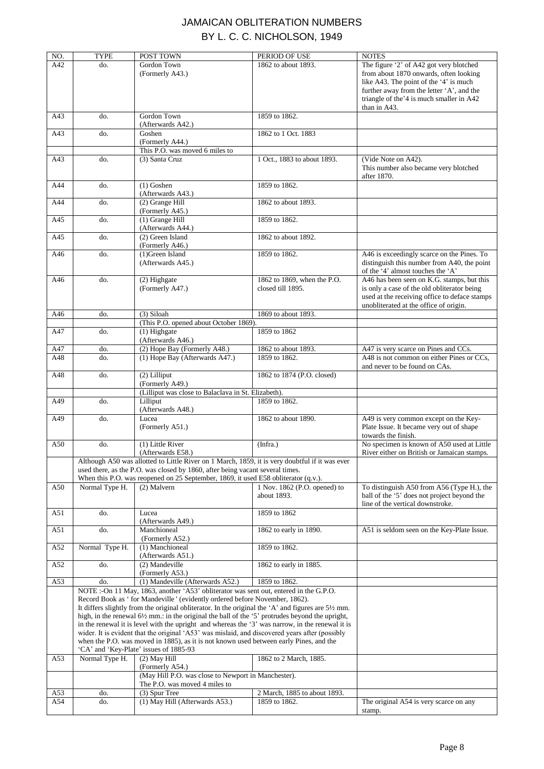| NO. | <b>TYPE</b>                                                                   | POST TOWN                                                                                                                                                                                                                    | PERIOD OF USE                | <b>NOTES</b>                                                                    |  |
|-----|-------------------------------------------------------------------------------|------------------------------------------------------------------------------------------------------------------------------------------------------------------------------------------------------------------------------|------------------------------|---------------------------------------------------------------------------------|--|
| A42 | do.                                                                           | Gordon Town                                                                                                                                                                                                                  | 1862 to about 1893.          | The figure '2' of A42 got very blotched                                         |  |
|     |                                                                               | (Formerly A43.)                                                                                                                                                                                                              |                              | from about 1870 onwards, often looking                                          |  |
|     |                                                                               |                                                                                                                                                                                                                              |                              | like A43. The point of the '4' is much                                          |  |
|     |                                                                               |                                                                                                                                                                                                                              |                              | further away from the letter 'A', and the                                       |  |
|     |                                                                               |                                                                                                                                                                                                                              |                              | triangle of the '4 is much smaller in A42                                       |  |
|     |                                                                               |                                                                                                                                                                                                                              |                              | than in A43.                                                                    |  |
| A43 | do.                                                                           | Gordon Town                                                                                                                                                                                                                  | 1859 to 1862.                |                                                                                 |  |
|     |                                                                               | (Afterwards A42.)                                                                                                                                                                                                            |                              |                                                                                 |  |
| A43 | do.                                                                           | Goshen                                                                                                                                                                                                                       | 1862 to 1 Oct. 1883          |                                                                                 |  |
|     |                                                                               | (Formerly A44.)<br>This P.O. was moved 6 miles to                                                                                                                                                                            |                              |                                                                                 |  |
| A43 | do.                                                                           | (3) Santa Cruz                                                                                                                                                                                                               | 1 Oct., 1883 to about 1893.  | (Vide Note on A42).                                                             |  |
|     |                                                                               |                                                                                                                                                                                                                              |                              | This number also became very blotched                                           |  |
|     |                                                                               |                                                                                                                                                                                                                              |                              | after 1870.                                                                     |  |
| A44 | do.                                                                           | $(1)$ Goshen                                                                                                                                                                                                                 | 1859 to 1862.                |                                                                                 |  |
|     |                                                                               | (Afterwards A43.)                                                                                                                                                                                                            |                              |                                                                                 |  |
| A44 | do.                                                                           | (2) Grange Hill                                                                                                                                                                                                              | 1862 to about 1893.          |                                                                                 |  |
|     |                                                                               | (Formerly A45.)                                                                                                                                                                                                              |                              |                                                                                 |  |
| A45 | do.                                                                           | $(1)$ Grange Hill                                                                                                                                                                                                            | 1859 to 1862.                |                                                                                 |  |
|     |                                                                               | (Afterwards A44.)                                                                                                                                                                                                            |                              |                                                                                 |  |
| A45 | do.                                                                           | (2) Green Island                                                                                                                                                                                                             | 1862 to about 1892.          |                                                                                 |  |
|     |                                                                               | (Formerly A46.)                                                                                                                                                                                                              |                              |                                                                                 |  |
| A46 | do.                                                                           | (1)Green Island                                                                                                                                                                                                              | 1859 to 1862.                | A46 is exceedingly scarce on the Pines. To                                      |  |
|     |                                                                               | (Afterwards A45.)                                                                                                                                                                                                            |                              | distinguish this number from A40, the point                                     |  |
|     | do.                                                                           |                                                                                                                                                                                                                              | 1862 to 1869, when the P.O.  | of the '4' almost touches the 'A'<br>A46 has been seen on K.G. stamps, but this |  |
| A46 |                                                                               | (2) Highgate<br>(Formerly A47.)                                                                                                                                                                                              | closed till 1895.            | is only a case of the old obliterator being                                     |  |
|     |                                                                               |                                                                                                                                                                                                                              |                              | used at the receiving office to deface stamps                                   |  |
|     |                                                                               |                                                                                                                                                                                                                              |                              | unobliterated at the office of origin.                                          |  |
| A46 | do.                                                                           | (3) Siloah                                                                                                                                                                                                                   | 1869 to about 1893.          |                                                                                 |  |
|     |                                                                               | (This P.O. opened about October 1869).                                                                                                                                                                                       |                              |                                                                                 |  |
| A47 | do.                                                                           | (1) Highgate                                                                                                                                                                                                                 | 1859 to 1862                 |                                                                                 |  |
|     |                                                                               | (Afterwards A46.)                                                                                                                                                                                                            |                              |                                                                                 |  |
| A47 | do.                                                                           | (2) Hope Bay (Formerly A48.)                                                                                                                                                                                                 | 1862 to about 1893.          | A47 is very scarce on Pines and CCs.                                            |  |
| A48 | do.                                                                           | (1) Hope Bay (Afterwards A47.)                                                                                                                                                                                               | 1859 to 1862.                | A48 is not common on either Pines or CCs,                                       |  |
|     |                                                                               |                                                                                                                                                                                                                              |                              | and never to be found on CAs.                                                   |  |
| A48 | do.                                                                           | (2) Lilliput                                                                                                                                                                                                                 | 1862 to 1874 (P.O. closed)   |                                                                                 |  |
|     |                                                                               | (Formerly A49.)                                                                                                                                                                                                              |                              |                                                                                 |  |
|     |                                                                               | (Lilliput was close to Balaclava in St. Elizabeth).                                                                                                                                                                          | 1859 to 1862.                |                                                                                 |  |
| A49 | do.                                                                           | Lilliput<br>(Afterwards A48.)                                                                                                                                                                                                |                              |                                                                                 |  |
| A49 | do.                                                                           | Lucea                                                                                                                                                                                                                        | 1862 to about 1890.          | A49 is very common except on the Key-                                           |  |
|     |                                                                               | (Formerly A51.)                                                                                                                                                                                                              |                              | Plate Issue. It became very out of shape                                        |  |
|     |                                                                               |                                                                                                                                                                                                                              |                              | towards the finish.                                                             |  |
| A50 | do.                                                                           | (1) Little River                                                                                                                                                                                                             | (Infra.)                     | No specimen is known of A50 used at Little                                      |  |
|     |                                                                               | (Afterwards E58.)                                                                                                                                                                                                            |                              | River either on British or Jamaican stamps.                                     |  |
|     |                                                                               | Although A50 was allotted to Little River on 1 March, 1859, it is very doubtful if it was ever                                                                                                                               |                              |                                                                                 |  |
|     | used there, as the P.O. was closed by 1860, after being vacant several times. |                                                                                                                                                                                                                              |                              |                                                                                 |  |
|     |                                                                               | When this P.O. was reopened on 25 September, 1869, it used E58 obliterator (q.v.).                                                                                                                                           |                              |                                                                                 |  |
| A50 | Normal Type H.                                                                | (2) Malvern                                                                                                                                                                                                                  | 1 Nov. 1862 (P.O. opened) to | To distinguish A50 from A56 (Type H.), the                                      |  |
|     |                                                                               |                                                                                                                                                                                                                              | about 1893.                  | ball of the '5' does not project beyond the                                     |  |
| A51 | do.                                                                           | Lucea                                                                                                                                                                                                                        | 1859 to 1862                 | line of the vertical downstroke.                                                |  |
|     |                                                                               | (Afterwards A49.)                                                                                                                                                                                                            |                              |                                                                                 |  |
| A51 | do.                                                                           | Manchioneal                                                                                                                                                                                                                  | 1862 to early in 1890.       | A51 is seldom seen on the Key-Plate Issue.                                      |  |
|     |                                                                               | (Formerly A52.)                                                                                                                                                                                                              |                              |                                                                                 |  |
| A52 | Normal Type H.                                                                | $(1)$ Manchioneal                                                                                                                                                                                                            | 1859 to 1862.                |                                                                                 |  |
|     |                                                                               | (Afterwards A51.)                                                                                                                                                                                                            |                              |                                                                                 |  |
| A52 | do.                                                                           | (2) Mandeville                                                                                                                                                                                                               | 1862 to early in 1885.       |                                                                                 |  |
|     |                                                                               | (Formerly A53.)                                                                                                                                                                                                              |                              |                                                                                 |  |
| A53 | do.                                                                           | (1) Mandeville (Afterwards A52.)                                                                                                                                                                                             | 1859 to 1862.                |                                                                                 |  |
|     |                                                                               | NOTE:-On 11 May, 1863, another 'A53' obliterator was sent out, entered in the G.P.O.                                                                                                                                         |                              |                                                                                 |  |
|     |                                                                               | Record Book as 'for Mandeville ' (evidently ordered before November, 1862).                                                                                                                                                  |                              |                                                                                 |  |
|     |                                                                               | It differs slightly from the original obliterator. In the original the $A'$ and figures are $5\frac{1}{2}$ mm.<br>high, in the renewal $6\frac{1}{2}$ mm.: in the original the ball of the '5' protrudes beyond the upright, |                              |                                                                                 |  |
|     |                                                                               | in the renewal it is level with the upright and whereas the '3' was narrow, in the renewal it is                                                                                                                             |                              |                                                                                 |  |
|     |                                                                               | wider. It is evident that the original 'A53' was mislaid, and discovered years after (possibly                                                                                                                               |                              |                                                                                 |  |
|     |                                                                               | when the P.O. was moved in 1885), as it is not known used between early Pines, and the                                                                                                                                       |                              |                                                                                 |  |
|     |                                                                               | 'CA' and 'Key-Plate' issues of 1885-93                                                                                                                                                                                       |                              |                                                                                 |  |
| A53 | Normal Type H.                                                                | $(2)$ May Hill                                                                                                                                                                                                               | 1862 to 2 March, 1885.       |                                                                                 |  |
|     |                                                                               | (Formerly A54.)                                                                                                                                                                                                              |                              |                                                                                 |  |
|     |                                                                               | (May Hill P.O. was close to Newport in Manchester).                                                                                                                                                                          |                              |                                                                                 |  |
|     |                                                                               | The P.O. was moved 4 miles to                                                                                                                                                                                                |                              |                                                                                 |  |
| A53 | do.                                                                           | (3) Spur Tree                                                                                                                                                                                                                | 2 March, 1885 to about 1893. |                                                                                 |  |
| A54 | do.                                                                           | (1) May Hill (Afterwards A53.)                                                                                                                                                                                               | 1859 to 1862.                | The original A54 is very scarce on any                                          |  |
|     |                                                                               |                                                                                                                                                                                                                              |                              | stamp.                                                                          |  |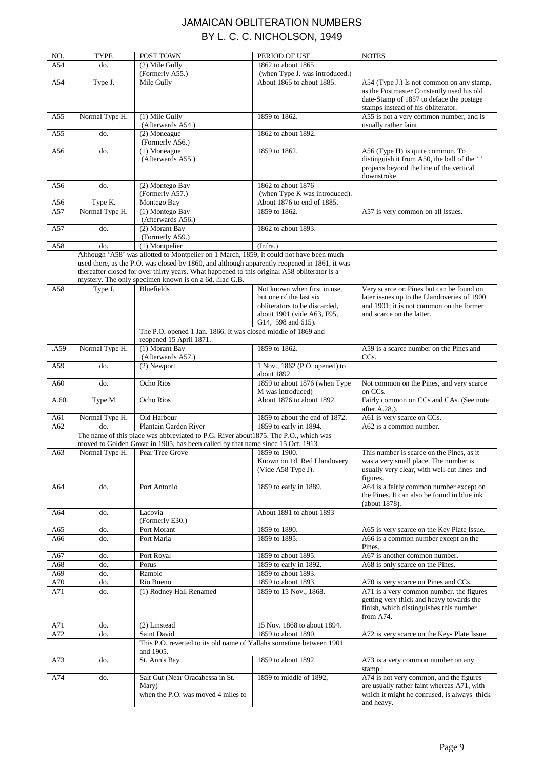| NO.   | <b>TYPE</b>    | POST TOWN                                                                                                                                                                                                                                                                                                                                          | PERIOD OF USE                                       | <b>NOTES</b>                                                                                                                                                             |
|-------|----------------|----------------------------------------------------------------------------------------------------------------------------------------------------------------------------------------------------------------------------------------------------------------------------------------------------------------------------------------------------|-----------------------------------------------------|--------------------------------------------------------------------------------------------------------------------------------------------------------------------------|
| A54   | do.            | (2) Mile Gully                                                                                                                                                                                                                                                                                                                                     | 1862 to about 1865                                  |                                                                                                                                                                          |
|       |                | (Formerly A55.)                                                                                                                                                                                                                                                                                                                                    | (when Type J. was introduced.)                      |                                                                                                                                                                          |
| A54   | Type J.        | Mile Gully                                                                                                                                                                                                                                                                                                                                         | About 1865 to about 1885.                           | A54 (Type J.) Is not common on any stamp,<br>as the Postmaster Constantly used his old<br>date-Stamp of 1857 to deface the postage<br>stamps instead of his obliterator. |
| A55   | Normal Type H. | (1) Mile Gully<br>(Afterwards A54.)                                                                                                                                                                                                                                                                                                                | 1859 to 1862.                                       | A55 is not a very common number, and is<br>usually rather faint.                                                                                                         |
| A55   | do.            | (2) Moneague<br>(Formerly A56.)                                                                                                                                                                                                                                                                                                                    | 1862 to about 1892.                                 |                                                                                                                                                                          |
| A56   | do.            | $(1)$ Moneague                                                                                                                                                                                                                                                                                                                                     | 1859 to 1862.                                       | A56 (Type H) is quite common. To                                                                                                                                         |
|       |                | (Afterwards A55.)                                                                                                                                                                                                                                                                                                                                  |                                                     | distinguish it from A50, the ball of the "<br>projects beyond the line of the vertical<br>downstroke                                                                     |
| A56   | do.            | (2) Montego Bay<br>(Formerly A57.)                                                                                                                                                                                                                                                                                                                 | 1862 to about 1876<br>(when Type K was introduced). |                                                                                                                                                                          |
| A56   | Type K.        | Montego Bay                                                                                                                                                                                                                                                                                                                                        | About 1876 to end of 1885.                          |                                                                                                                                                                          |
| A57   | Normal Type H. | (1) Montego Bay<br>(Afterwards A56.)                                                                                                                                                                                                                                                                                                               | 1859 to 1862.                                       | A57 is very common on all issues.                                                                                                                                        |
| A57   | do.            | (2) Morant Bay<br>(Formerly A59.)                                                                                                                                                                                                                                                                                                                  | 1862 to about 1893.                                 |                                                                                                                                                                          |
| A58   | do.            | $(1)$ Montpelier                                                                                                                                                                                                                                                                                                                                   | (Infra.)                                            |                                                                                                                                                                          |
|       |                | Although 'A58' was allotted to Montpelier on 1 March, 1859, it could not have been much<br>used there, as the P.O. was closed by 1860, and although apparently reopened in 1861, it was<br>thereafter closed for over thirty years. What happened to this original A58 obliterator is a<br>mystery. The only specimen known is on a 6d. lilac G.B. |                                                     |                                                                                                                                                                          |
| A58   | Type J.        | <b>Bluefields</b>                                                                                                                                                                                                                                                                                                                                  | Not known when first in use,                        | Very scarce on Pines but can be found on                                                                                                                                 |
|       |                |                                                                                                                                                                                                                                                                                                                                                    | but one of the last six                             | later issues up to the Llandoveries of 1900                                                                                                                              |
|       |                |                                                                                                                                                                                                                                                                                                                                                    | obliterators to be discarded,                       | and 1901; it is not common on the former                                                                                                                                 |
|       |                |                                                                                                                                                                                                                                                                                                                                                    | about 1901 (vide A63, F95,<br>G14, 598 and 615).    | and scarce on the latter.                                                                                                                                                |
|       |                | The P.O. opened 1 Jan. 1866. It was closed middle of 1869 and                                                                                                                                                                                                                                                                                      |                                                     |                                                                                                                                                                          |
|       |                | reopened 15 April 1871.                                                                                                                                                                                                                                                                                                                            |                                                     |                                                                                                                                                                          |
| .A59  | Normal Type H. | (1) Morant Bay                                                                                                                                                                                                                                                                                                                                     | 1859 to 1862.                                       | A59 is a scarce number on the Pines and                                                                                                                                  |
|       |                | (Afterwards A57.)                                                                                                                                                                                                                                                                                                                                  |                                                     | CC <sub>s</sub> .                                                                                                                                                        |
| A59   | do.            | (2) Newport                                                                                                                                                                                                                                                                                                                                        | 1 Nov., 1862 (P.O. opened) to<br>about 1892.        |                                                                                                                                                                          |
| A60   | do.            | Ocho Rios                                                                                                                                                                                                                                                                                                                                          | 1859 to about 1876 (when Type<br>M was introduced)  | Not common on the Pines, and very scarce<br>on CCs.                                                                                                                      |
| A.60. | Type M         | Ocho Rios                                                                                                                                                                                                                                                                                                                                          | About 1876 to about 1892.                           | Fairly common on CCs and CAs. (See note<br>after A.28.).                                                                                                                 |
| A61   | Normal Type H. | Old Harbour                                                                                                                                                                                                                                                                                                                                        | 1859 to about the end of 1872.                      | A61 is very scarce on CCs.                                                                                                                                               |
| A62   | do.            | Plantain Garden River                                                                                                                                                                                                                                                                                                                              | 1859 to early in 1894.                              | A62 is a common number.                                                                                                                                                  |
|       |                | The name of this place was abbreviated to P.G. River about1875. The P.O., which was                                                                                                                                                                                                                                                                |                                                     |                                                                                                                                                                          |
|       |                | moved to Golden Grove in 1905, has been called by that name since 15 Oct. 1913.                                                                                                                                                                                                                                                                    |                                                     |                                                                                                                                                                          |
| A63   | Normal Type H. | Pear Tree Grove                                                                                                                                                                                                                                                                                                                                    | 1859 to 1900.                                       | This number is scarce on the Pines, as it                                                                                                                                |
|       |                |                                                                                                                                                                                                                                                                                                                                                    | Known on 1d. Red Llandovery.<br>(Vide A58 Type J).  | was a very small place. The number is<br>usually very clear, with well-cut lines and<br>figures.                                                                         |
| A64   | do.            | Port Antonio                                                                                                                                                                                                                                                                                                                                       | 1859 to early in 1889.                              | A64 is a fairly common number except on<br>the Pines. It can also be found in blue ink<br>(about 1878).                                                                  |
| A64   | do.            | Lacovia<br>(Formerly E30.)                                                                                                                                                                                                                                                                                                                         | About 1891 to about 1893                            |                                                                                                                                                                          |
| A65   | do.            | Port Morant                                                                                                                                                                                                                                                                                                                                        | 1859 to 1890.                                       | A65 is very scarce on the Key Plate Issue.                                                                                                                               |
| A66   | do.            | Port Maria                                                                                                                                                                                                                                                                                                                                         | 1859 to 1895.                                       | A66 is a common number except on the<br>Pines.                                                                                                                           |
| A67   | do.            | Port Royal                                                                                                                                                                                                                                                                                                                                         | 1859 to about 1895.                                 | A67 is another common number.                                                                                                                                            |
| A68   | do.            | Porus                                                                                                                                                                                                                                                                                                                                              | 1859 to early in 1892.                              | A68 is only scarce on the Pines.                                                                                                                                         |
| A69   | do.            | Ramble                                                                                                                                                                                                                                                                                                                                             | 1859 to about 1893.                                 |                                                                                                                                                                          |
| A70   | do.            | Rio Bueno                                                                                                                                                                                                                                                                                                                                          | 1859 to about 1893.                                 | A70 is very scarce on Pines and CCs.                                                                                                                                     |
| A71   | do.            | (1) Rodney Hall Renamed                                                                                                                                                                                                                                                                                                                            | 1859 to 15 Nov., 1868.                              | A71 is a very common number. the figures<br>getting very thick and heavy towards the<br>finish, which distinguishes this number<br>from A74.                             |
| A71   | do.            | (2) Linstead                                                                                                                                                                                                                                                                                                                                       | 15 Nov. 1868 to about 1894.                         |                                                                                                                                                                          |
| A72   | do.            | Saint David<br>This P.O. reverted to its old name of Yallahs sometime between 1901                                                                                                                                                                                                                                                                 | 1859 to about 1890.                                 | A72 is very scarce on the Key-Plate Issue.                                                                                                                               |
| A73   | do.            | and 1905.<br>St. Ann's Bay                                                                                                                                                                                                                                                                                                                         | 1859 to about 1892.                                 | A73 is a very common number on any                                                                                                                                       |
|       |                |                                                                                                                                                                                                                                                                                                                                                    |                                                     | stamp.                                                                                                                                                                   |
| A74   | do.            | Salt Gut (Near Oracabessa in St.<br>Mary)<br>when the P.O. was moved 4 miles to                                                                                                                                                                                                                                                                    | 1859 to middle of 1892,                             | A74 is not very common, and the figures<br>are usually rather faint whereas A71, with<br>which it might he confused, is always thick<br>and heavy.                       |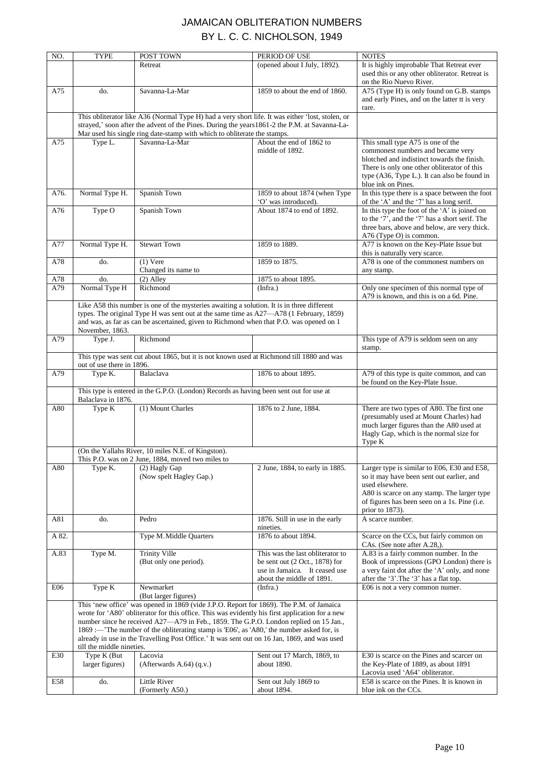| NO.   | <b>TYPE</b>                                                                                             | POST TOWN                                                                                                                                                                                                                                                                                                                                                                                                                                                                        | PERIOD OF USE                                                                                                                      | <b>NOTES</b>                                                                                                                                                                                                                  |  |
|-------|---------------------------------------------------------------------------------------------------------|----------------------------------------------------------------------------------------------------------------------------------------------------------------------------------------------------------------------------------------------------------------------------------------------------------------------------------------------------------------------------------------------------------------------------------------------------------------------------------|------------------------------------------------------------------------------------------------------------------------------------|-------------------------------------------------------------------------------------------------------------------------------------------------------------------------------------------------------------------------------|--|
|       |                                                                                                         | Retreat                                                                                                                                                                                                                                                                                                                                                                                                                                                                          | (opened about I July, 1892).                                                                                                       | It is highly improbable That Retreat ever<br>used this or any other obliterator. Retreat is<br>on the Rio Nuevo River.                                                                                                        |  |
| A75   | do.                                                                                                     | Savanna-La-Mar                                                                                                                                                                                                                                                                                                                                                                                                                                                                   | 1859 to about the end of 1860.                                                                                                     | A75 (Type H) is only found on G.B. stamps<br>and early Pines, and on the latter tt is very<br>rare.                                                                                                                           |  |
|       |                                                                                                         | This obliterator like A36 (Normal Type H) had a very short life. It was either 'lost, stolen, or<br>strayed,' soon after the advent of the Pines. During the years 1861-2 the P.M. at Savanna-La-<br>Mar used his single ring date-stamp with which to obliterate the stamps.                                                                                                                                                                                                    |                                                                                                                                    |                                                                                                                                                                                                                               |  |
| A75   | Type L.                                                                                                 | Savanna-La-Mar                                                                                                                                                                                                                                                                                                                                                                                                                                                                   | About the end of 1862 to                                                                                                           | This small type A75 is one of the                                                                                                                                                                                             |  |
|       |                                                                                                         |                                                                                                                                                                                                                                                                                                                                                                                                                                                                                  | middle of 1892.                                                                                                                    | commonest numbers and became very<br>blotched and indistinct towards the finish.<br>There is only one other obliterator of this<br>type (A36, Type L.). It can also be found in<br>blue ink on Pines.                         |  |
| A76.  | Normal Type H.                                                                                          | Spanish Town                                                                                                                                                                                                                                                                                                                                                                                                                                                                     | 1859 to about 1874 (when Type<br>'O' was introduced).                                                                              | In this type there is a space between the foot<br>of the 'A' and the '7' has a long serif.                                                                                                                                    |  |
| A76   | Type O                                                                                                  | Spanish Town                                                                                                                                                                                                                                                                                                                                                                                                                                                                     | About 1874 to end of 1892.                                                                                                         | In this type the foot of the 'A' is joined on<br>to the '7', and the '7' has a short serif. The<br>three bars, above and below, are very thick.<br>A76 (Type O) is common.                                                    |  |
| A77   | Normal Type H.                                                                                          | <b>Stewart Town</b>                                                                                                                                                                                                                                                                                                                                                                                                                                                              | 1859 to 1889.                                                                                                                      | A77 is known on the Key-Plate Issue but<br>this is naturally very scarce.                                                                                                                                                     |  |
| A78   | do.                                                                                                     | $(1)$ Vere<br>Changed its name to                                                                                                                                                                                                                                                                                                                                                                                                                                                | 1859 to 1875.                                                                                                                      | A78 is one of the commonest numbers on                                                                                                                                                                                        |  |
| A78   | do.                                                                                                     | $(2)$ Alley                                                                                                                                                                                                                                                                                                                                                                                                                                                                      | 1875 to about 1895.                                                                                                                | any stamp.                                                                                                                                                                                                                    |  |
| A79   | Normal Type H                                                                                           | Richmond                                                                                                                                                                                                                                                                                                                                                                                                                                                                         | (Infra.)                                                                                                                           | Only one specimen of this normal type of<br>A79 is known, and this is on a 6d. Pine.                                                                                                                                          |  |
|       | November, 1863.                                                                                         | Like A58 this number is one of the mysteries awaiting a solution. It is in three different<br>types. The original Type H was sent out at the same time as A27-A78 (1 February, 1859)<br>and was, as far as can be ascertained, given to Richmond when that P.O. was opened on 1                                                                                                                                                                                                  |                                                                                                                                    |                                                                                                                                                                                                                               |  |
| A79   | Type J.                                                                                                 | Richmond                                                                                                                                                                                                                                                                                                                                                                                                                                                                         |                                                                                                                                    | This type of A79 is seldom seen on any<br>stamp.                                                                                                                                                                              |  |
|       | This type was sent cut about 1865, but it is not known used at Richmond till 1880 and was               |                                                                                                                                                                                                                                                                                                                                                                                                                                                                                  |                                                                                                                                    |                                                                                                                                                                                                                               |  |
| A79   | out of use there in 1896.<br>Type K.                                                                    | Balaclava                                                                                                                                                                                                                                                                                                                                                                                                                                                                        | 1876 to about 1895.                                                                                                                | A79 of this type is quite common, and can<br>be found on the Key-Plate Issue.                                                                                                                                                 |  |
|       |                                                                                                         | This type is entered in the G.P.O. (London) Records as having been sent out for use at                                                                                                                                                                                                                                                                                                                                                                                           |                                                                                                                                    |                                                                                                                                                                                                                               |  |
| A80   | Balaclava in 1876.<br>Type K                                                                            | (1) Mount Charles                                                                                                                                                                                                                                                                                                                                                                                                                                                                | 1876 to 2 June, 1884.                                                                                                              | There are two types of A80. The first one                                                                                                                                                                                     |  |
|       |                                                                                                         |                                                                                                                                                                                                                                                                                                                                                                                                                                                                                  |                                                                                                                                    | (presumably used at Mount Charles) had<br>much larger figures than the A80 used at<br>Hagly Gap, which is the normal size for<br>Type K                                                                                       |  |
|       | (On the Yallahs River, 10 miles N.E. of Kingston).<br>This P.O. was on 2 June, 1884, moved two miles to |                                                                                                                                                                                                                                                                                                                                                                                                                                                                                  |                                                                                                                                    |                                                                                                                                                                                                                               |  |
| A80   | Type K.                                                                                                 | (2) Hagly Gap<br>(Now spelt Hagley Gap.)                                                                                                                                                                                                                                                                                                                                                                                                                                         | 2 June, 1884, to early in 1885.                                                                                                    | Larger type is similar to E06, E30 and E58,<br>so it may have been sent out earlier, and<br>used elsewhere.<br>A80 is scarce on any stamp. The larger type<br>of figures has been seen on a 1s. Pine (i.e.<br>prior to 1873). |  |
| A81   | do.                                                                                                     | Pedro                                                                                                                                                                                                                                                                                                                                                                                                                                                                            | 1876. Still in use in the early<br>nineties.                                                                                       | A scarce number.                                                                                                                                                                                                              |  |
| A 82. |                                                                                                         | Type M. Middle Quarters                                                                                                                                                                                                                                                                                                                                                                                                                                                          | 1876 to about 1894.                                                                                                                | Scarce on the CCs, but fairly common on<br>CAs. (See note after A.28,).                                                                                                                                                       |  |
| A.83  | Type M.                                                                                                 | <b>Trinity Ville</b><br>(But only one period).                                                                                                                                                                                                                                                                                                                                                                                                                                   | This was the last obliterator to<br>be sent out $(2 Oct., 1878)$ for<br>use in Jamaica. It ceased use<br>about the middle of 1891. | A.83 is a fairly common number. In the<br>Book of impressions (GPO London) there is<br>a very faint dot after the 'A' only, and none<br>after the '3'. The '3' has a flat top.                                                |  |
| E06   | Type K                                                                                                  | Newmarket<br>(But larger figures)                                                                                                                                                                                                                                                                                                                                                                                                                                                | (Infra.)                                                                                                                           | E06 is not a very common numer.                                                                                                                                                                                               |  |
|       | till the middle nineties.                                                                               | This 'new office' was opened in 1869 (vide J.P.O. Report for 1869). The P.M. of Jamaica<br>wrote for 'A80' obliterator for this office. This was evidently his first application for a new<br>number since he received A27—A79 in Feb., 1859. The G.P.O. London replied on 15 Jan.,<br>1869 :- The number of the obliterating stamp is 'E06', as 'A80,' the number asked for, is<br>already in use in the Travelling Post Office.' It was sent out on 16 Jan, 1869, and was used |                                                                                                                                    |                                                                                                                                                                                                                               |  |
| E30   | Type K (But<br>larger figures)                                                                          | Lacovia<br>(Afterwards A.64) $(q.v.)$                                                                                                                                                                                                                                                                                                                                                                                                                                            | Sent out 17 March, 1869, to<br>about 1890.                                                                                         | E30 is scarce on the Pines and scarcer on<br>the Key-Plate of 1889, as about 1891<br>Lacovia used 'A64' obliterator.                                                                                                          |  |
| E58   | do.                                                                                                     | Little River<br>(Formerly A50.)                                                                                                                                                                                                                                                                                                                                                                                                                                                  | Sent out July 1869 to<br>about 1894.                                                                                               | E58 is scarce on the Pines. It is known in<br>blue ink on the CCs.                                                                                                                                                            |  |
|       |                                                                                                         |                                                                                                                                                                                                                                                                                                                                                                                                                                                                                  |                                                                                                                                    |                                                                                                                                                                                                                               |  |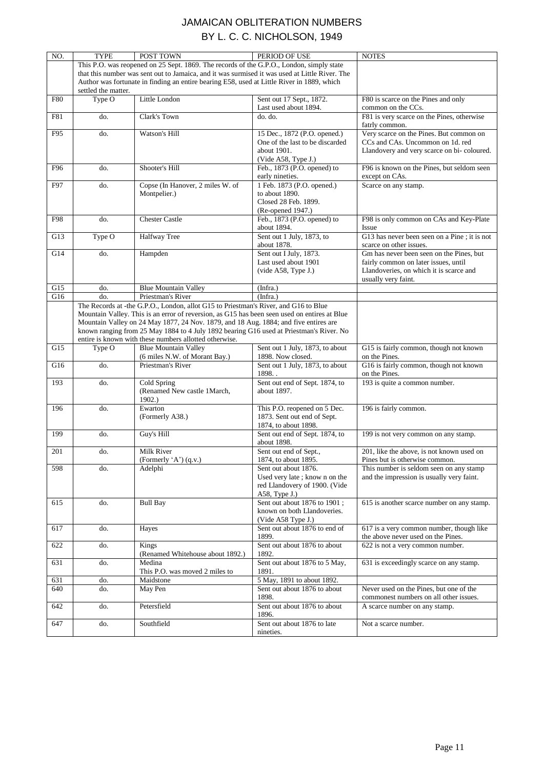| NO.        | TYPE                | POST TOWN                                                                                      | PERIOD OF USE                            | <b>NOTES</b>                                 |
|------------|---------------------|------------------------------------------------------------------------------------------------|------------------------------------------|----------------------------------------------|
|            |                     | This P.O. was reopened on 25 Sept. 1869. The records of the G.P.O., London, simply state       |                                          |                                              |
|            |                     | that this number was sent out to Jamaica, and it was surmised it was used at Little River. The |                                          |                                              |
|            |                     | Author was fortunate in finding an entire bearing E58, used at Little River in 1889, which     |                                          |                                              |
|            | settled the matter. |                                                                                                |                                          |                                              |
| <b>F80</b> | Type O              | Little London                                                                                  | Sent out 17 Sept., 1872.                 | F80 is scarce on the Pines and only          |
|            |                     |                                                                                                | Last used about 1894.                    | common on the CCs.                           |
| F81        | do.                 | Clark's Town                                                                                   | do. do.                                  | F81 is very scarce on the Pines, otherwise   |
|            |                     |                                                                                                |                                          | fatrly common.                               |
| F95        | do.                 | Watson's Hill                                                                                  | 15 Dec., 1872 (P.O. opened.)             | Very scarce on the Pines. But common on      |
|            |                     |                                                                                                | One of the last to be discarded          | CCs and CAs. Uncommon on 1d. red             |
|            |                     |                                                                                                | about 1901.                              | Llandovery and very scarce on bi-coloured.   |
|            |                     |                                                                                                | (Vide A58, Type J.)                      |                                              |
| F96        | do.                 | Shooter's Hill                                                                                 | Feb., 1873 (P.O. opened) to              | F96 is known on the Pines, but seldom seen   |
|            |                     |                                                                                                | early nineties.                          | except on CAs.                               |
| F97        | do.                 | Copse (In Hanover, 2 miles W. of                                                               | 1 Feb. 1873 (P.O. opened.)               | Scarce on any stamp.                         |
|            |                     | Montpelier.)                                                                                   | to about 1890.                           |                                              |
|            |                     |                                                                                                | Closed 28 Feb. 1899.                     |                                              |
|            |                     |                                                                                                | (Re-opened 1947.)                        |                                              |
| F98        | do.                 | <b>Chester Castle</b>                                                                          | Feb., 1873 (P.O. opened) to              | F98 is only common on CAs and Key-Plate      |
|            |                     |                                                                                                | about 1894.                              | Issue                                        |
| G13        | Type O              | <b>Halfway Tree</b>                                                                            | Sent out 1 July, 1873, to                | G13 has never been seen on a Pine; it is not |
|            |                     |                                                                                                | about 1878.                              | scarce on other issues.                      |
| G14        | do.                 | Hampden                                                                                        | Sent out I July, 1873.                   | Gm has never been seen on the Pines, but     |
|            |                     |                                                                                                | Last used about 1901                     | fairly common on later issues, until         |
|            |                     |                                                                                                | (vide A58, Type J.)                      | Llandoveries, on which it is scarce and      |
|            |                     |                                                                                                |                                          | usually very faint.                          |
| G15        | do.                 | <b>Blue Mountain Valley</b>                                                                    | (Infra.)                                 |                                              |
| G16        | do.                 | Priestman's River                                                                              | (Infra.)                                 |                                              |
|            |                     | The Records at -the G.P.O., London, allot G15 to Priestman's River, and G16 to Blue            |                                          |                                              |
|            |                     | Mountain Valley. This is an error of reversion, as G15 has been seen used on entires at Blue   |                                          |                                              |
|            |                     | Mountain Valley on 24 May 1877, 24 Nov. 1879, and 18 Aug. 1884; and five entires are           |                                          |                                              |
|            |                     | known ranging from 25 May 1884 to 4 July 1892 bearing G16 used at Priestman's River. No        |                                          |                                              |
|            |                     | entire is known with these numbers allotted otherwise.                                         |                                          |                                              |
| G15        | Type O              | <b>Blue Mountain Valley</b>                                                                    | Sent out 1 July, 1873, to about          | G15 is fairly common, though not known       |
|            |                     |                                                                                                |                                          |                                              |
|            |                     | (6 miles N.W. of Morant Bay.)                                                                  | 1898. Now closed.                        | on the Pines.                                |
| G16        | do.                 | Priestman's River                                                                              | Sent out 1 July, 1873, to about          | G16 is fairly common, though not known       |
|            |                     |                                                                                                | 1898                                     | on the Pines.                                |
| 193        | do.                 | Cold Spring                                                                                    | Sent out end of Sept. 1874, to           | 193 is quite a common number.                |
|            |                     | (Renamed New castle 1March,                                                                    | about 1897.                              |                                              |
|            |                     | 1902.                                                                                          |                                          |                                              |
| 196        | do.                 | Ewarton                                                                                        | This P.O. reopened on 5 Dec.             | 196 is fairly common.                        |
|            |                     | (Formerly A38.)                                                                                | 1873. Sent out end of Sept.              |                                              |
|            |                     |                                                                                                | 1874, to about 1898.                     |                                              |
| 199        | do.                 | Guy's Hill                                                                                     | Sent out end of Sept. 1874, to           | 199 is not very common on any stamp.         |
|            |                     |                                                                                                | about 1898.                              |                                              |
| 201        | do.                 | Milk River                                                                                     | Sent out end of Sept.,                   | 201, like the above, is not known used on    |
|            |                     | (Formerly 'A') (q.v.)                                                                          | 1874, to about 1895.                     | Pines but is otherwise common.               |
| 598        | do.                 | Adelphi                                                                                        | Sent out about 1876.                     | This number is seldom seen on any stamp      |
|            |                     |                                                                                                | Used very late; know n on the            | and the impression is usually very faint.    |
|            |                     |                                                                                                | red Llandovery of 1900. (Vide            |                                              |
|            |                     |                                                                                                | $A58$ , Type J.)                         |                                              |
| 615        | do.                 | <b>Bull Bay</b>                                                                                | Sent out about 1876 to 1901;             | 615 is another scarce number on any stamp.   |
|            |                     |                                                                                                | known on both Llandoveries.              |                                              |
|            |                     |                                                                                                | (Vide A58 Type J.)                       |                                              |
| 617        | do.                 | Hayes                                                                                          | Sent out about 1876 to end of            | 617 is a very common number, though like     |
|            |                     |                                                                                                | 1899.                                    | the above never used on the Pines.           |
| 622        | do.                 | Kings                                                                                          | Sent out about 1876 to about             | 622 is not a very common number.             |
|            |                     | (Renamed Whitehouse about 1892.)                                                               | 1892.                                    |                                              |
| 631        | do.                 | Medina                                                                                         | Sent out about 1876 to 5 May,            | 631 is exceedingly scarce on any stamp.      |
|            |                     | This P.O. was moved 2 miles to                                                                 | 1891.                                    |                                              |
| 631        | do.                 | Maidstone                                                                                      | 5 May, 1891 to about 1892.               |                                              |
| 640        | do.                 | May Pen                                                                                        | Sent out about 1876 to about             | Never used on the Pines, but one of the      |
|            |                     |                                                                                                | 1898.                                    | commonest numbers on all other issues.       |
| 642        | do.                 | Petersfield                                                                                    | Sent out about 1876 to about             | A scarce number on any stamp.                |
|            |                     |                                                                                                | 1896.                                    |                                              |
| 647        | do.                 | Southfield                                                                                     | Sent out about 1876 to late<br>nineties. | Not a scarce number.                         |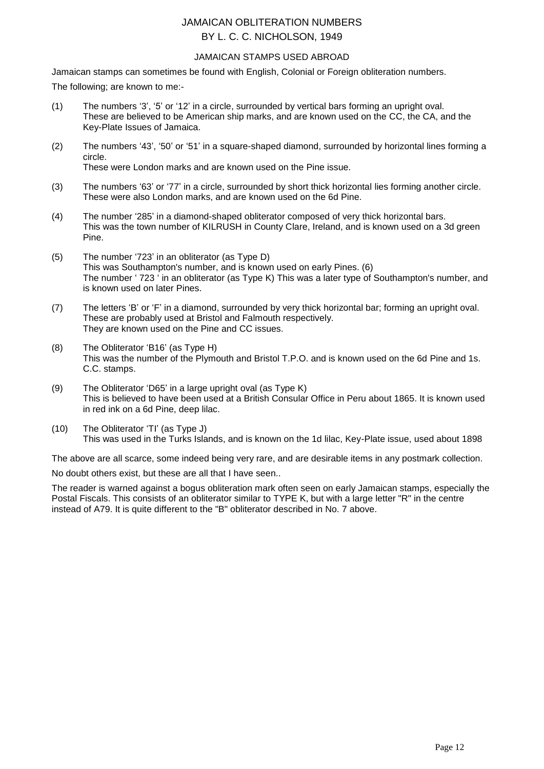#### JAMAICAN STAMPS USED ABROAD

Jamaican stamps can sometimes be found with English, Colonial or Foreign obliteration numbers.

The following; are known to me:-

- (1) The numbers "3", "5" or "12" in a circle, surrounded by vertical bars forming an upright oval. These are believed to be American ship marks, and are known used on the CC, the CA, and the Key-Plate Issues of Jamaica.
- (2) The numbers "43", "50" or "51" in a square-shaped diamond, surrounded by horizontal lines forming a circle. These were London marks and are known used on the Pine issue.

- (3) The numbers "63" or "77" in a circle, surrounded by short thick horizontal lies forming another circle. These were also London marks, and are known used on the 6d Pine.
- (4) The number "285" in a diamond-shaped obliterator composed of very thick horizontal bars. This was the town number of KILRUSH in County Clare, Ireland, and is known used on a 3d green Pine.
- (5) The number "723" in an obliterator (as Type D) This was Southampton's number, and is known used on early Pines. (6) The number ' 723 ' in an obliterator (as Type K) This was a later type of Southampton's number, and is known used on later Pines.
- (7) The letters "B" or "F" in a diamond, surrounded by very thick horizontal bar; forming an upright oval. These are probably used at Bristol and Falmouth respectively. They are known used on the Pine and CC issues.
- (8) The Obliterator "B16" (as Type H) This was the number of the Plymouth and Bristol T.P.O. and is known used on the 6d Pine and 1s. C.C. stamps.
- (9) The Obliterator "D65" in a large upright oval (as Type K) This is believed to have been used at a British Consular Office in Peru about 1865. It is known used in red ink on a 6d Pine, deep lilac.
- (10) The Obliterator "TI" (as Type J) This was used in the Turks Islands, and is known on the 1d lilac, Key-Plate issue, used about 1898

The above are all scarce, some indeed being very rare, and are desirable items in any postmark collection.

No doubt others exist, but these are all that I have seen..

The reader is warned against a bogus obliteration mark often seen on early Jamaican stamps, especially the Postal Fiscals. This consists of an obliterator similar to TYPE K, but with a large letter "R" in the centre instead of A79. It is quite different to the "B" obliterator described in No. 7 above.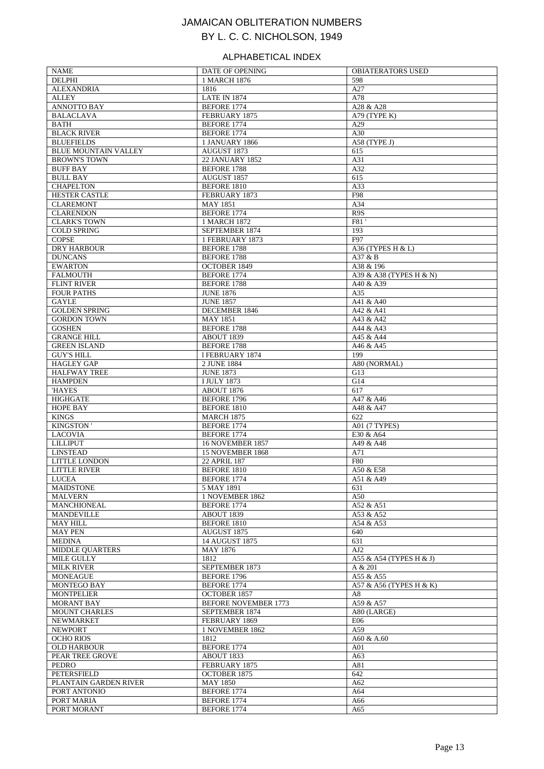#### ALPHABETICAL INDEX

| <b>NAME</b>                               | DATE OF OPENING                               | <b>OBIATERATORS USED</b> |
|-------------------------------------------|-----------------------------------------------|--------------------------|
| <b>DELPHI</b>                             | 1 MARCH 1876                                  | 598                      |
| <b>ALEXANDRIA</b>                         | 1816                                          | A27                      |
| <b>ALLEY</b>                              | <b>LATE IN 1874</b>                           | A78                      |
| ANNOTTO BAY                               | <b>BEFORE 1774</b>                            | A28 & A28                |
| <b>BALACLAVA</b><br><b>BATH</b>           | FEBRUARY 1875<br>BEFORE 1774                  | A79 (TYPE K)             |
| <b>BLACK RIVER</b>                        | <b>BEFORE 1774</b>                            | A29<br>A30               |
| <b>BLUEFIELDS</b>                         | <b>1 JANUARY 1866</b>                         | A58 (TYPE J)             |
| <b>BLUE MOUNTAIN VALLEY</b>               | AUGUST 1873                                   | 615                      |
| <b>BROWN'S TOWN</b>                       | <b>22 JANUARY 1852</b>                        | A31                      |
| <b>BUFF BAY</b>                           | <b>BEFORE 1788</b>                            | A32                      |
| <b>BULL BAY</b>                           | AUGUST 1857                                   | 615                      |
| <b>CHAPELTON</b>                          | BEFORE 1810                                   | A33                      |
| <b>HESTER CASTLE</b>                      | FEBRUARY 1873                                 | F98                      |
| <b>CLAREMONT</b>                          | <b>MAY 1851</b>                               | A34                      |
| <b>CLARENDON</b>                          | BEFORE 1774                                   | R9S                      |
| <b>CLARK'S TOWN</b>                       | 1 MARCH 1872                                  | F81                      |
| <b>COLD SPRING</b>                        | SEPTEMBER 1874                                | 193                      |
| <b>COPSE</b><br><b>DRY HARBOUR</b>        | 1 FEBRUARY 1873<br><b>BEFORE 1788</b>         | F97<br>A36 (TYPES H & L) |
| <b>DUNCANS</b>                            | <b>BEFORE 1788</b>                            | A37 & B                  |
| <b>EWARTON</b>                            | <b>OCTOBER 1849</b>                           | A38 & 196                |
| <b>FALMOUTH</b>                           | <b>BEFORE 1774</b>                            | A39 & A38 (TYPES H & N)  |
| <b>FLINT RIVER</b>                        | <b>BEFORE 1788</b>                            | A40 & A39                |
| <b>FOUR PATHS</b>                         | <b>JUNE 1876</b>                              | A35                      |
| <b>GAYLE</b>                              | <b>JUNE 1857</b>                              | A41 & A40                |
| <b>GOLDEN SPRING</b>                      | DECEMBER 1846                                 | A42 & A41                |
| <b>GORDON TOWN</b>                        | <b>MAY 1851</b>                               | A43 & A42                |
| <b>GOSHEN</b>                             | <b>BEFORE 1788</b>                            | A44 & A43                |
| <b>GRANGE HILL</b>                        | ABOUT 1839                                    | A45 & A44                |
| <b>GREEN ISLAND</b>                       | <b>BEFORE 1788</b>                            | A46 & A45                |
| <b>GUY'S HILL</b>                         | 1 FEBRUARY 1874                               | 199                      |
| <b>HAGLEY GAP</b><br><b>HALFWAY TREE</b>  | 2 JUNE 1884<br><b>JUNE 1873</b>               | A80 (NORMAL)<br>G13      |
| <b>HAMPDEN</b>                            | <b>I JULY 1873</b>                            | G14                      |
| <b>HAYES</b>                              | ABOUT 1876                                    | 617                      |
| <b>HIGHGATE</b>                           | <b>BEFORE 1796</b>                            | A47 & A46                |
| <b>HOPE BAY</b>                           | BEFORE 1810                                   | A48 & A47                |
| <b>KINGS</b>                              | <b>MARCH 1875</b>                             | 622                      |
| KINGSTON '                                | <b>BEFORE 1774</b>                            | A01 (7 TYPES)            |
| <b>LACOVIA</b>                            | <b>BEFORE 1774</b>                            | E30 & A64                |
| <b>LILLIPUT</b>                           | <b>16 NOVEMBER 1857</b>                       | A49 & A48                |
| <b>LINSTEAD</b>                           | 15 NOVEMBER 1868                              | A71                      |
| LITTLE LONDON                             | 22 APRIL 187                                  | F80                      |
| LITTLE RIVER                              | BEFORE 1810                                   | A50 & E58                |
| LUCEA<br><b>MAIDSTONE</b>                 | BEFORE 1774<br>5 MAY 1891                     | A51 & A49<br>631         |
| <b>MALVERN</b>                            | 1 NOVEMBER 1862                               | A50                      |
| <b>MANCHIONEAL</b>                        | <b>BEFORE 1774</b>                            | A52 & A51                |
| <b>MANDEVILLE</b>                         | ABOUT 1839                                    | A53 & A52                |
| <b>MAY HILL</b>                           | BEFORE 1810                                   | A54 & A53                |
| <b>MAY PEN</b>                            | AUGUST 1875                                   | 640                      |
| <b>MEDINA</b>                             | 14 AUGUST 1875                                | 631                      |
| <b>MIDDLE OUARTERS</b>                    | <b>MAY 1876</b>                               | AJ2                      |
| MILE GULLY                                | 1812                                          | A55 & A54 (TYPES H & J)  |
| <b>MILK RIVER</b>                         | SEPTEMBER 1873                                | A & 201                  |
| <b>MONEAGUE</b>                           | BEFORE 1796                                   | A55 & A55                |
| <b>MONTEGO BAY</b>                        | <b>BEFORE 1774</b>                            | A57 & A56 (TYPES H & K)  |
| <b>MONTPELIER</b>                         | <b>OCTOBER 1857</b>                           | A8                       |
| <b>MORANT BAY</b><br><b>MOUNT CHARLES</b> | <b>BEFORE NOVEMBER 1773</b><br>SEPTEMBER 1874 | A59 & A57                |
| NEWMARKET                                 | FEBRUARY 1869                                 | A80 (LARGE)<br>E06       |
| <b>NEWPORT</b>                            | 1 NOVEMBER 1862                               | A59                      |
| <b>OCHO RIOS</b>                          | 1812                                          | A60 & A.60               |
| <b>OLD HARBOUR</b>                        | BEFORE 1774                                   | A <sub>01</sub>          |
| PEAR TREE GROVE                           | ABOUT 1833                                    | A63                      |
| PEDRO                                     | FEBRUARY 1875                                 | A81                      |
| PETERSFIELD                               | <b>OCTOBER 1875</b>                           | 642                      |
| PLANTAIN GARDEN RIVER                     | <b>MAY 1850</b>                               | A62                      |
| PORT ANTONIO                              | BEFORE 1774                                   | A64                      |
| PORT MARIA                                | <b>BEFORE 1774</b>                            | A66                      |
| PORT MORANT                               | <b>BEFORE 1774</b>                            | A65                      |